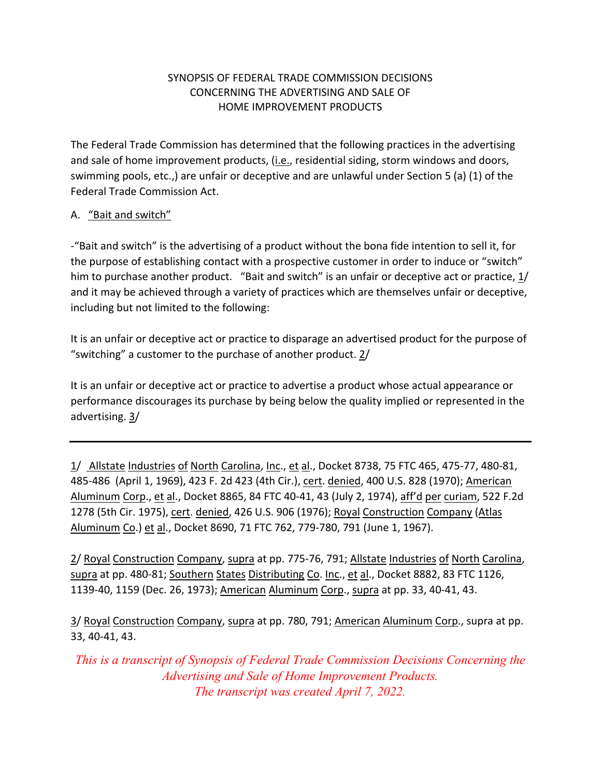## SYNOPSIS OF FEDERAL TRADE COMMISSION DECISIONS CONCERNING THE ADVERTISING AND SALE OF HOME IMPROVEMENT PRODUCTS

 The Federal Trade Commission has determined that the following practices in the advertising and sale of home improvement products, (i.e., residential siding, storm windows and doors, swimming pools, etc.,) are unfair or deceptive and are unlawful under Section 5 (a) (1) of the Federal Trade Commission Act.

## A. "Bait and switch"

 ‐"Bait and switch" is the advertising of a product without the bona fide intention to sell it, for the purpose of establishing contact with a prospective customer in order to induce or "switch" him to purchase another product. "Bait and switch" is an unfair or deceptive act or practice,  $\underline{1}/$  and it may be achieved through a variety of practices which are themselves unfair or deceptive, including but not limited to the following:

 It is an unfair or deceptive act or practice to disparage an advertised product for the purpose of "switching" a customer to the purchase of another product. 2/

 It is an unfair or deceptive act or practice to advertise a product whose actual appearance or performance discourages its purchase by being below the quality implied or represented in the advertising. 3/

1/ Allstate Industries of North Carolina, Inc., et al., Docket 8738, 75 FTC 465, 475-77, 480-81, 485-486 (April 1, 1969), 423 F. 2d 423 (4th Cir.), cert. denied, 400 U.S. 828 (1970); <u>American</u> Aluminum Corp., et al., Docket 8865, 84 FTC 40‐41, 43 (July 2, 1974), aff'd per curiam, 522 F.2d 1278 (5th Cir. 1975), cert. denied, 426 U.S. 906 (1976); Royal Construction Company (Atlas Aluminum Co.) et al., Docket 8690, 71 FTC 762, 779‐780, 791 (June 1, 1967).

2/ Royal Construction Company, supra at pp. 775-76, 791; Allstate Industries of North Carolina, supra at pp. 480-81; Southern States Distributing Co. Inc., et al., Docket 8882, 83 FTC 1126, 1139-40, 1159 (Dec. 26, 1973); American Aluminum Corp., supra at pp. 33, 40-41, 43.

3/ Royal Construction Company, supra at pp. 780, 791; American Aluminum Corp., supra at pp. 33, 40‐41, 43.

*This is a transcript of Synopsis of Federal Trade Commission Decisions Concerning the Advertising and Sale of Home Improvement Products. The transcript was created April 7, 2022.*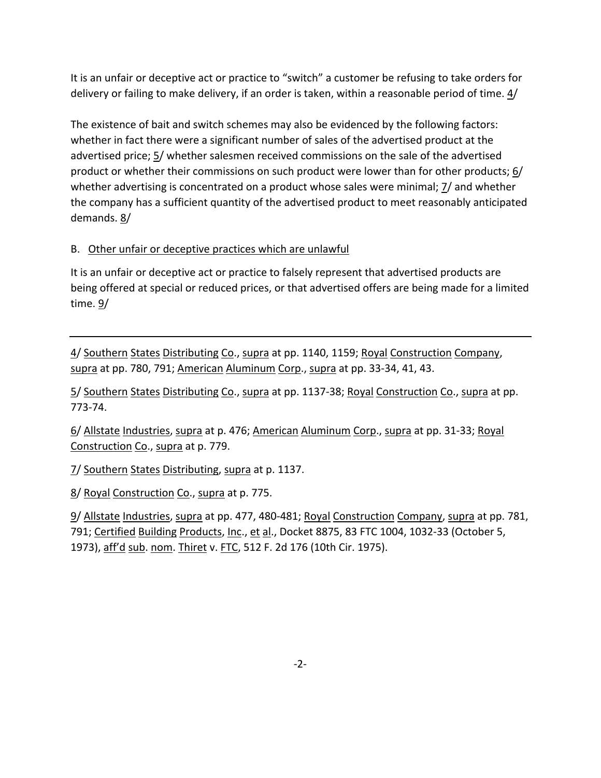It is an unfair or deceptive act or practice to "switch" a customer be refusing to take orders for delivery or failing to make delivery, if an order is taken, within a reasonable period of time.  $\underline{4}/$ 

 The existence of bait and switch schemes may also be evidenced by the following factors: whether in fact there were a significant number of sales of the advertised product at the advertised price; 5/ whether salesmen received commissions on the sale of the advertised product or whether their commissions on such product were lower than for other products; 6/ whether advertising is concentrated on a product whose sales were minimal;  $\mathbf{\mathit{I}}\mathit{/}$  and whether the company has a sufficient quantity of the advertised product to meet reasonably anticipated demands. <u>8</u>/

## B. Other unfair or deceptive practices which are unlawful

 It is an unfair or deceptive act or practice to falsely represent that advertised products are being offered at special or reduced prices, or that advertised offers are being made for a limited time. <u>9</u>/

4/ Southern States Distributing Co., supra at pp. 1140, 1159; Royal Construction Company, supra at pp. 780, 791; American Aluminum Corp., supra at pp. 33-34, 41, 43.

5/ Southern States Distributing Co., supra at pp. 1137-38; Royal Construction Co., supra at pp. 773‐74.

6/ Allstate Industries, supra at p. 476; American Aluminum Corp., supra at pp. 31-33; Royal Construction Co., supra at p. 779.

7/ Southern States Distributing, supra at p. 1137.

8/ Royal Construction Co., supra at p. 775.

9/ Allstate Industries, supra at pp. 477, 480-481; Royal Construction Company, supra at pp. 781, 791; Certified Building Products, Inc., et al., Docket 8875, 83 FTC 1004, 1032-33 (October 5, 1973), aff'd sub. nom. Thiret v. FTC, 512 F. 2d 176 (10th Cir. 1975).